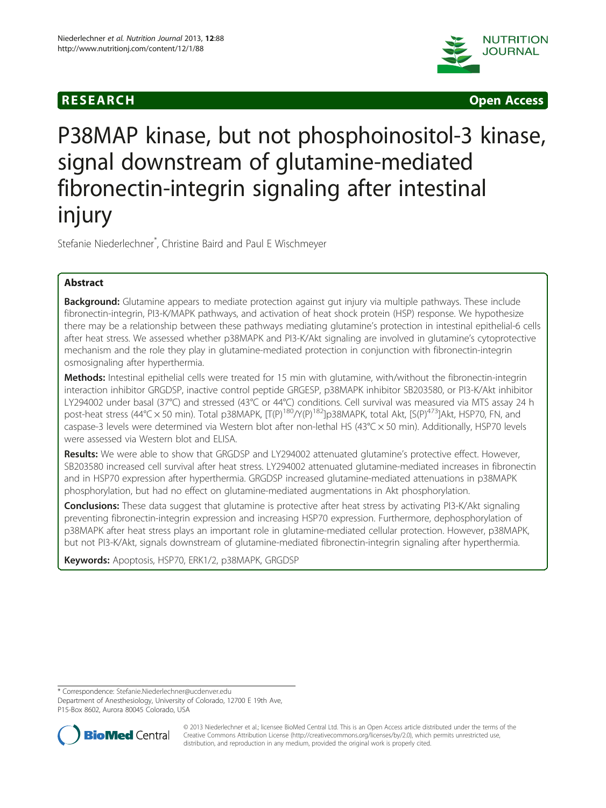





# P38MAP kinase, but not phosphoinositol-3 kinase, signal downstream of glutamine-mediated fibronectin-integrin signaling after intestinal injury

Stefanie Niederlechner\* , Christine Baird and Paul E Wischmeyer

# Abstract

Background: Glutamine appears to mediate protection against gut injury via multiple pathways. These include fibronectin-integrin, PI3-K/MAPK pathways, and activation of heat shock protein (HSP) response. We hypothesize there may be a relationship between these pathways mediating glutamine's protection in intestinal epithelial-6 cells after heat stress. We assessed whether p38MAPK and PI3-K/Akt signaling are involved in glutamine's cytoprotective mechanism and the role they play in glutamine-mediated protection in conjunction with fibronectin-integrin osmosignaling after hyperthermia.

Methods: Intestinal epithelial cells were treated for 15 min with glutamine, with/without the fibronectin-integrin interaction inhibitor GRGDSP, inactive control peptide GRGESP, p38MAPK inhibitor SB203580, or PI3-K/Akt inhibitor LY294002 under basal (37°C) and stressed (43°C or 44°C) conditions. Cell survival was measured via MTS assay 24 h post-heat stress (44°C × 50 min). Total p38MAPK,  $[T(P)^{180}/Y(P)^{182}]$ p38MAPK, total Akt, [S(P)<sup>473</sup>]Akt, HSP70, FN, and caspase-3 levels were determined via Western blot after non-lethal HS (43°C × 50 min). Additionally, HSP70 levels were assessed via Western blot and ELISA.

Results: We were able to show that GRGDSP and LY294002 attenuated glutamine's protective effect. However, SB203580 increased cell survival after heat stress. LY294002 attenuated glutamine-mediated increases in fibronectin and in HSP70 expression after hyperthermia. GRGDSP increased glutamine-mediated attenuations in p38MAPK phosphorylation, but had no effect on glutamine-mediated augmentations in Akt phosphorylation.

Conclusions: These data suggest that glutamine is protective after heat stress by activating PI3-K/Akt signaling preventing fibronectin-integrin expression and increasing HSP70 expression. Furthermore, dephosphorylation of p38MAPK after heat stress plays an important role in glutamine-mediated cellular protection. However, p38MAPK, but not PI3-K/Akt, signals downstream of glutamine-mediated fibronectin-integrin signaling after hyperthermia.

Keywords: Apoptosis, HSP70, ERK1/2, p38MAPK, GRGDSP

\* Correspondence: [Stefanie.Niederlechner@ucdenver.edu](mailto:Stefanie.Niederlechner@ucdenver.edu)

Department of Anesthesiology, University of Colorado, 12700 E 19th Ave, P15-Box 8602, Aurora 80045 Colorado, USA



© 2013 Niederlechner et al.; licensee BioMed Central Ltd. This is an Open Access article distributed under the terms of the Creative Commons Attribution License (<http://creativecommons.org/licenses/by/2.0>), which permits unrestricted use, distribution, and reproduction in any medium, provided the original work is properly cited.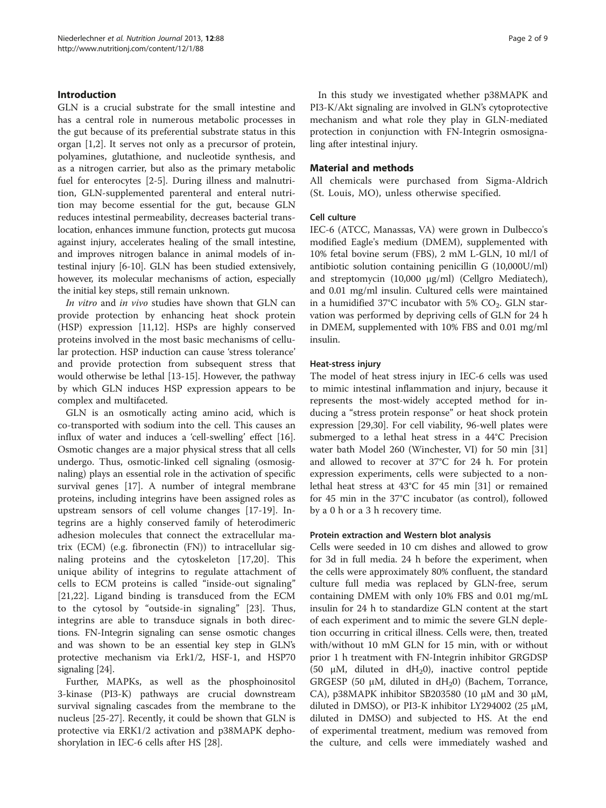## Introduction

GLN is a crucial substrate for the small intestine and has a central role in numerous metabolic processes in the gut because of its preferential substrate status in this organ [[1,2\]](#page-7-0). It serves not only as a precursor of protein, polyamines, glutathione, and nucleotide synthesis, and as a nitrogen carrier, but also as the primary metabolic fuel for enterocytes [\[2](#page-7-0)-[5\]](#page-7-0). During illness and malnutrition, GLN-supplemented parenteral and enteral nutrition may become essential for the gut, because GLN reduces intestinal permeability, decreases bacterial translocation, enhances immune function, protects gut mucosa against injury, accelerates healing of the small intestine, and improves nitrogen balance in animal models of intestinal injury [\[6-10\]](#page-7-0). GLN has been studied extensively, however, its molecular mechanisms of action, especially the initial key steps, still remain unknown.

In vitro and in vivo studies have shown that GLN can provide protection by enhancing heat shock protein (HSP) expression [\[11,12](#page-7-0)]. HSPs are highly conserved proteins involved in the most basic mechanisms of cellular protection. HSP induction can cause 'stress tolerance' and provide protection from subsequent stress that would otherwise be lethal [\[13](#page-7-0)-[15](#page-7-0)]. However, the pathway by which GLN induces HSP expression appears to be complex and multifaceted.

GLN is an osmotically acting amino acid, which is co-transported with sodium into the cell. This causes an influx of water and induces a 'cell-swelling' effect [\[16](#page-7-0)]. Osmotic changes are a major physical stress that all cells undergo. Thus, osmotic-linked cell signaling (osmosignaling) plays an essential role in the activation of specific survival genes [\[17](#page-7-0)]. A number of integral membrane proteins, including integrins have been assigned roles as upstream sensors of cell volume changes [\[17](#page-7-0)-[19\]](#page-7-0). Integrins are a highly conserved family of heterodimeric adhesion molecules that connect the extracellular matrix (ECM) (e.g. fibronectin (FN)) to intracellular signaling proteins and the cytoskeleton [[17,20](#page-7-0)]. This unique ability of integrins to regulate attachment of cells to ECM proteins is called "inside-out signaling" [[21,22](#page-7-0)]. Ligand binding is transduced from the ECM to the cytosol by "outside-in signaling" [\[23](#page-7-0)]. Thus, integrins are able to transduce signals in both directions. FN-Integrin signaling can sense osmotic changes and was shown to be an essential key step in GLN's protective mechanism via Erk1/2, HSF-1, and HSP70 signaling [[24](#page-7-0)].

Further, MAPKs, as well as the phosphoinositol 3-kinase (PI3-K) pathways are crucial downstream survival signaling cascades from the membrane to the nucleus [\[25-27](#page-7-0)]. Recently, it could be shown that GLN is protective via ERK1/2 activation and p38MAPK dephoshorylation in IEC-6 cells after HS [[28\]](#page-7-0).

In this study we investigated whether p38MAPK and PI3-K/Akt signaling are involved in GLN's cytoprotective mechanism and what role they play in GLN-mediated protection in conjunction with FN-Integrin osmosignaling after intestinal injury.

## Material and methods

All chemicals were purchased from Sigma-Aldrich (St. Louis, MO), unless otherwise specified.

## Cell culture

IEC-6 (ATCC, Manassas, VA) were grown in Dulbecco's modified Eagle's medium (DMEM), supplemented with 10% fetal bovine serum (FBS), 2 mM L-GLN, 10 ml/l of antibiotic solution containing penicillin G (10,000U/ml) and streptomycin (10,000 μg/ml) (Cellgro Mediatech), and 0.01 mg/ml insulin. Cultured cells were maintained in a humidified 37°C incubator with 5%  $CO<sub>2</sub>$ . GLN starvation was performed by depriving cells of GLN for 24 h in DMEM, supplemented with 10% FBS and 0.01 mg/ml insulin.

## Heat-stress injury

The model of heat stress injury in IEC-6 cells was used to mimic intestinal inflammation and injury, because it represents the most-widely accepted method for inducing a "stress protein response" or heat shock protein expression [[29,30\]](#page-7-0). For cell viability, 96-well plates were submerged to a lethal heat stress in a 44°C Precision water bath Model 260 (Winchester, VI) for 50 min [[31](#page-7-0)] and allowed to recover at 37°C for 24 h. For protein expression experiments, cells were subjected to a nonlethal heat stress at 43°C for 45 min [[31\]](#page-7-0) or remained for 45 min in the 37°C incubator (as control), followed by a 0 h or a 3 h recovery time.

## Protein extraction and Western blot analysis

Cells were seeded in 10 cm dishes and allowed to grow for 3d in full media. 24 h before the experiment, when the cells were approximately 80% confluent, the standard culture full media was replaced by GLN-free, serum containing DMEM with only 10% FBS and 0.01 mg/mL insulin for 24 h to standardize GLN content at the start of each experiment and to mimic the severe GLN depletion occurring in critical illness. Cells were, then, treated with/without 10 mM GLN for 15 min, with or without prior 1 h treatment with FN-Integrin inhibitor GRGDSP (50  $\mu$ M, diluted in dH<sub>2</sub>0), inactive control peptide GRGESP (50  $\mu$ M, diluted in dH<sub>2</sub>0) (Bachem, Torrance, CA), p38MAPK inhibitor SB203580 (10  $\mu$ M and 30  $\mu$ M, diluted in DMSO), or PI3-K inhibitor LY294002 (25  $\mu$ M, diluted in DMSO) and subjected to HS. At the end of experimental treatment, medium was removed from the culture, and cells were immediately washed and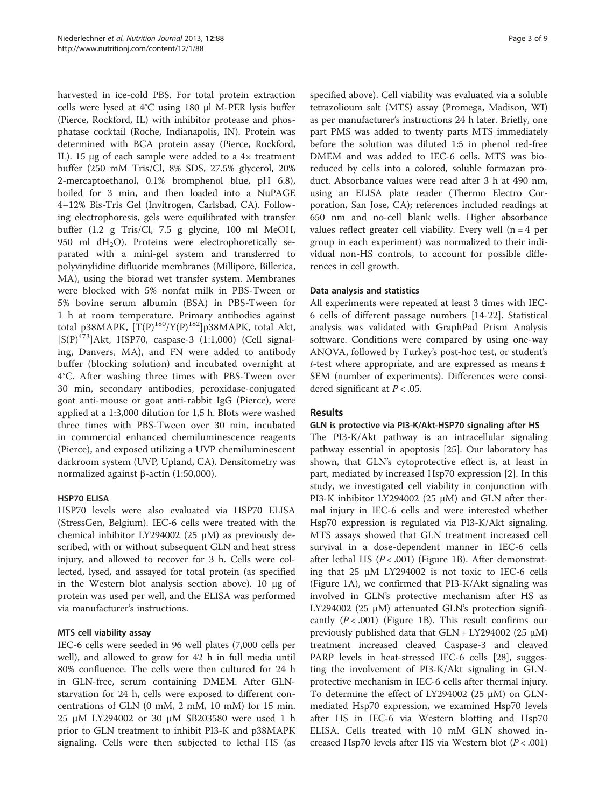harvested in ice-cold PBS. For total protein extraction cells were lysed at 4°C using 180 μl M-PER lysis buffer (Pierce, Rockford, IL) with inhibitor protease and phosphatase cocktail (Roche, Indianapolis, IN). Protein was determined with BCA protein assay (Pierce, Rockford, IL). 15 μg of each sample were added to a 4× treatment buffer (250 mM Tris/Cl, 8% SDS, 27.5% glycerol, 20% 2-mercaptoethanol, 0.1% bromphenol blue, pH 6.8), boiled for 3 min, and then loaded into a NuPAGE 4–12% Bis-Tris Gel (Invitrogen, Carlsbad, CA). Following electrophoresis, gels were equilibrated with transfer buffer (1.2 g Tris/Cl, 7.5 g glycine, 100 ml MeOH, 950 ml  $dH<sub>2</sub>O$ ). Proteins were electrophoretically separated with a mini-gel system and transferred to polyvinylidine difluoride membranes (Millipore, Billerica, MA), using the biorad wet transfer system. Membranes were blocked with 5% nonfat milk in PBS-Tween or 5% bovine serum albumin (BSA) in PBS-Tween for 1 h at room temperature. Primary antibodies against total p38MAPK,  $[T(P)^{180}/Y(P)^{182}]p38MAPK$ , total Akt,  $[S(P)^{473}]$ Akt, HSP70, caspase-3 (1:1,000) (Cell signaling, Danvers, MA), and FN were added to antibody buffer (blocking solution) and incubated overnight at 4°C. After washing three times with PBS-Tween over 30 min, secondary antibodies, peroxidase-conjugated goat anti-mouse or goat anti-rabbit IgG (Pierce), were applied at a 1:3,000 dilution for 1,5 h. Blots were washed three times with PBS-Tween over 30 min, incubated in commercial enhanced chemiluminescence reagents (Pierce), and exposed utilizing a UVP chemiluminescent darkroom system (UVP, Upland, CA). Densitometry was normalized against β-actin (1:50,000).

# HSP70 ELISA

HSP70 levels were also evaluated via HSP70 ELISA (StressGen, Belgium). IEC-6 cells were treated with the chemical inhibitor LY294002 (25  $\mu$ M) as previously described, with or without subsequent GLN and heat stress injury, and allowed to recover for 3 h. Cells were collected, lysed, and assayed for total protein (as specified in the Western blot analysis section above). 10 μg of protein was used per well, and the ELISA was performed via manufacturer's instructions.

# MTS cell viability assay

IEC-6 cells were seeded in 96 well plates (7,000 cells per well), and allowed to grow for 42 h in full media until 80% confluence. The cells were then cultured for 24 h in GLN-free, serum containing DMEM. After GLNstarvation for 24 h, cells were exposed to different concentrations of GLN (0 mM, 2 mM, 10 mM) for 15 min. 25 μM LY294002 or 30 μM SB203580 were used 1 h prior to GLN treatment to inhibit PI3-K and p38MAPK signaling. Cells were then subjected to lethal HS (as specified above). Cell viability was evaluated via a soluble tetrazolioum salt (MTS) assay (Promega, Madison, WI) as per manufacturer's instructions 24 h later. Briefly, one part PMS was added to twenty parts MTS immediately before the solution was diluted 1:5 in phenol red-free DMEM and was added to IEC-6 cells. MTS was bioreduced by cells into a colored, soluble formazan product. Absorbance values were read after 3 h at 490 nm, using an ELISA plate reader (Thermo Electro Corporation, San Jose, CA); references included readings at 650 nm and no-cell blank wells. Higher absorbance values reflect greater cell viability. Every well  $(n = 4$  per group in each experiment) was normalized to their individual non-HS controls, to account for possible differences in cell growth.

## Data analysis and statistics

All experiments were repeated at least 3 times with IEC-6 cells of different passage numbers [\[14](#page-7-0)-[22\]](#page-7-0). Statistical analysis was validated with GraphPad Prism Analysis software. Conditions were compared by using one-way ANOVA, followed by Turkey's post-hoc test, or student's t-test where appropriate, and are expressed as means  $\pm$ SEM (number of experiments). Differences were considered significant at  $P < .05$ .

# Results

# GLN is protective via PI3-K/Akt-HSP70 signaling after HS

The PI3-K/Akt pathway is an intracellular signaling pathway essential in apoptosis [\[25\]](#page-7-0). Our laboratory has shown, that GLN's cytoprotective effect is, at least in part, mediated by increased Hsp70 expression [[2\]](#page-7-0). In this study, we investigated cell viability in conjunction with PI3-K inhibitor LY294002 (25 μM) and GLN after thermal injury in IEC-6 cells and were interested whether Hsp70 expression is regulated via PI3-K/Akt signaling. MTS assays showed that GLN treatment increased cell survival in a dose-dependent manner in IEC-6 cells after lethal HS  $(P < .001)$  (Figure [1B](#page-3-0)). After demonstrating that 25 μM LY294002 is not toxic to IEC-6 cells (Figure [1](#page-3-0)A), we confirmed that PI3-K/Akt signaling was involved in GLN's protective mechanism after HS as LY294002 (25 μM) attenuated GLN's protection significantly  $(P < .001)$  (Figure [1](#page-3-0)B). This result confirms our previously published data that  $GLN + LY294002$  (25 μM) treatment increased cleaved Caspase-3 and cleaved PARP levels in heat-stressed IEC-6 cells [[28\]](#page-7-0), suggesting the involvement of PI3-K/Akt signaling in GLNprotective mechanism in IEC-6 cells after thermal injury. To determine the effect of LY294002 (25 μM) on GLNmediated Hsp70 expression, we examined Hsp70 levels after HS in IEC-6 via Western blotting and Hsp70 ELISA. Cells treated with 10 mM GLN showed increased Hsp70 levels after HS via Western blot  $(P < .001)$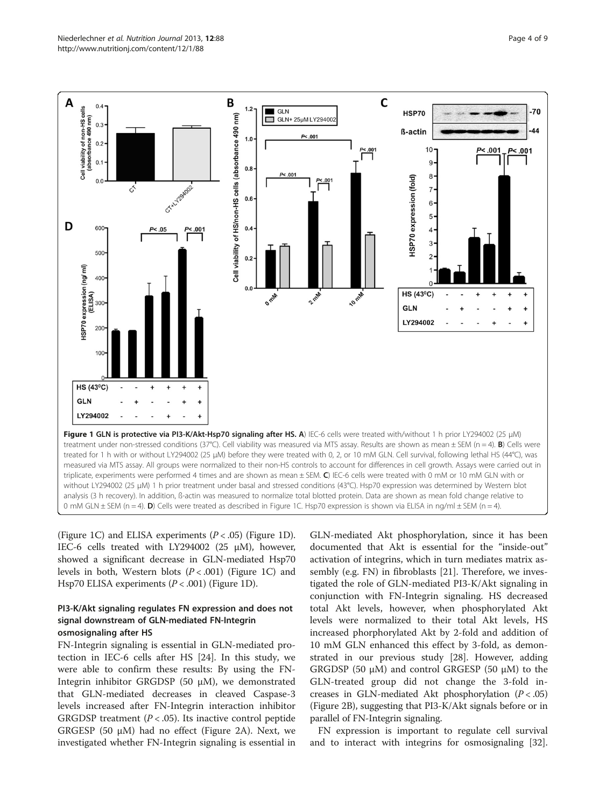<span id="page-3-0"></span>

(Figure 1C) and ELISA experiments  $(P < .05)$  (Figure 1D). IEC-6 cells treated with LY294002 (25 μM), however, showed a significant decrease in GLN-mediated Hsp70 levels in both, Western blots  $(P < .001)$  (Figure 1C) and Hsp70 ELISA experiments  $(P < .001)$  (Figure 1D).

## PI3-K/Akt signaling regulates FN expression and does not signal downstream of GLN-mediated FN-Integrin osmosignaling after HS

FN-Integrin signaling is essential in GLN-mediated protection in IEC-6 cells after HS [[24](#page-7-0)]. In this study, we were able to confirm these results: By using the FN-Integrin inhibitor GRGDSP (50 μM), we demonstrated that GLN-mediated decreases in cleaved Caspase-3 levels increased after FN-Integrin interaction inhibitor GRGDSP treatment ( $P < .05$ ). Its inactive control peptide GRGESP (50 μM) had no effect (Figure [2](#page-4-0)A). Next, we investigated whether FN-Integrin signaling is essential in

GLN-mediated Akt phosphorylation, since it has been documented that Akt is essential for the "inside-out" activation of integrins, which in turn mediates matrix assembly (e.g. FN) in fibroblasts [[21](#page-7-0)]. Therefore, we investigated the role of GLN-mediated PI3-K/Akt signaling in conjunction with FN-Integrin signaling. HS decreased total Akt levels, however, when phosphorylated Akt levels were normalized to their total Akt levels, HS increased phorphorylated Akt by 2-fold and addition of 10 mM GLN enhanced this effect by 3-fold, as demonstrated in our previous study [\[28](#page-7-0)]. However, adding GRGDSP (50  $\mu$ M) and control GRGESP (50  $\mu$ M) to the GLN-treated group did not change the 3-fold increases in GLN-mediated Akt phosphorylation  $(P < .05)$ (Figure [2B](#page-4-0)), suggesting that PI3-K/Akt signals before or in parallel of FN-Integrin signaling.

FN expression is important to regulate cell survival and to interact with integrins for osmosignaling [\[32](#page-7-0)].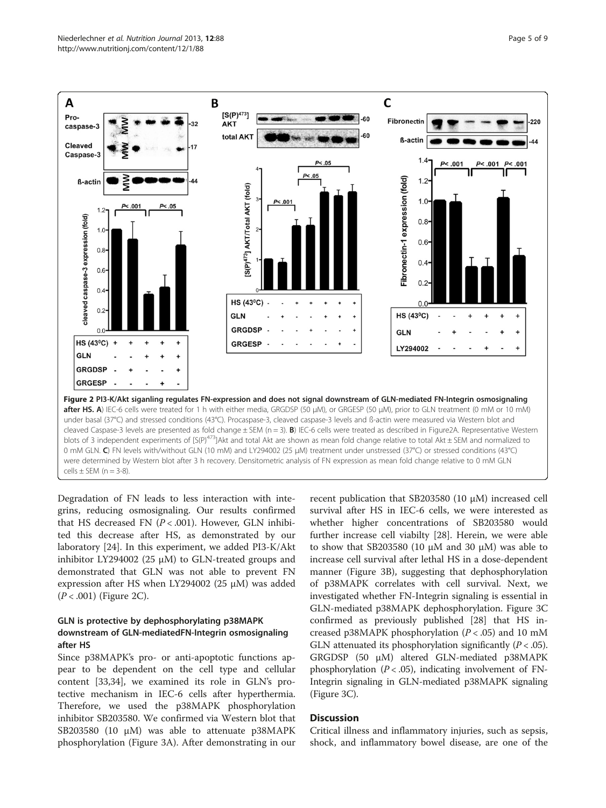<span id="page-4-0"></span>

Degradation of FN leads to less interaction with integrins, reducing osmosignaling. Our results confirmed that HS decreased FN  $(P < .001)$ . However, GLN inhibited this decrease after HS, as demonstrated by our laboratory [[24\]](#page-7-0). In this experiment, we added PI3-K/Akt inhibitor LY294002 (25 μM) to GLN-treated groups and demonstrated that GLN was not able to prevent FN expression after HS when LY294002 (25 μM) was added  $(P < .001)$  (Figure 2C).

# GLN is protective by dephosphorylating p38MAPK downstream of GLN-mediatedFN-Integrin osmosignaling after HS

Since p38MAPK's pro- or anti-apoptotic functions appear to be dependent on the cell type and cellular content [[33](#page-8-0),[34](#page-8-0)], we examined its role in GLN's protective mechanism in IEC-6 cells after hyperthermia. Therefore, we used the p38MAPK phosphorylation inhibitor SB203580. We confirmed via Western blot that SB203580 (10 μM) was able to attenuate p38MAPK phosphorylation (Figure [3](#page-5-0)A). After demonstrating in our

recent publication that SB203580 (10 μM) increased cell survival after HS in IEC-6 cells, we were interested as whether higher concentrations of SB203580 would further increase cell viabilty [\[28](#page-7-0)]. Herein, we were able to show that SB203580 (10 μM and 30 μM) was able to increase cell survival after lethal HS in a dose-dependent manner (Figure [3](#page-5-0)B), suggesting that dephosphorylation of p38MAPK correlates with cell survival. Next, we investigated whether FN-Integrin signaling is essential in GLN-mediated p38MAPK dephosphorylation. Figure [3C](#page-5-0) confirmed as previously published [[28](#page-7-0)] that HS increased p38MAPK phosphorylation ( $P < .05$ ) and 10 mM GLN attenuated its phosphorylation significantly  $(P < .05)$ . GRGDSP (50 μM) altered GLN-mediated p38MAPK phosphorylation ( $P < .05$ ), indicating involvement of FN-Integrin signaling in GLN-mediated p38MAPK signaling (Figure [3](#page-5-0)C).

## **Discussion**

Critical illness and inflammatory injuries, such as sepsis, shock, and inflammatory bowel disease, are one of the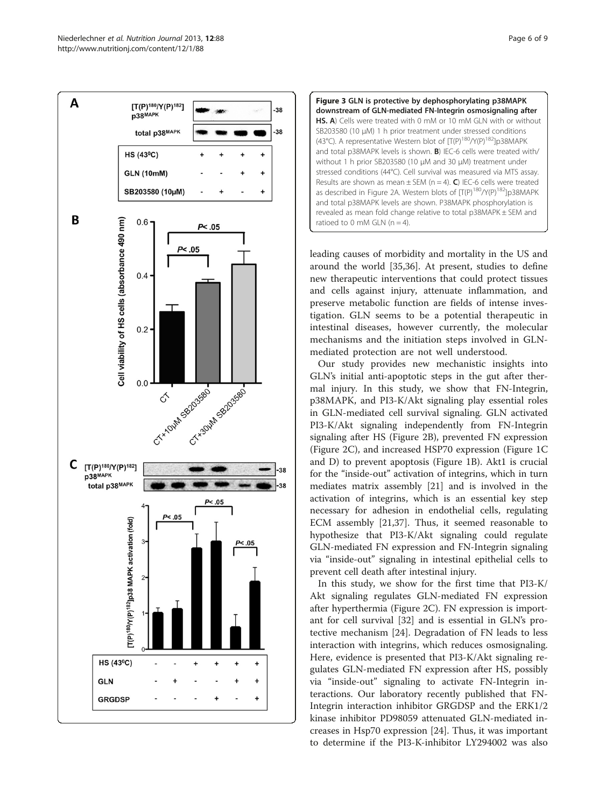<span id="page-5-0"></span>



leading causes of morbidity and mortality in the US and around the world [\[35,36](#page-8-0)]. At present, studies to define new therapeutic interventions that could protect tissues and cells against injury, attenuate inflammation, and preserve metabolic function are fields of intense investigation. GLN seems to be a potential therapeutic in intestinal diseases, however currently, the molecular mechanisms and the initiation steps involved in GLNmediated protection are not well understood.

Our study provides new mechanistic insights into GLN's initial anti-apoptotic steps in the gut after thermal injury. In this study, we show that FN-Integrin, p38MAPK, and PI3-K/Akt signaling play essential roles in GLN-mediated cell survival signaling. GLN activated PI3-K/Akt signaling independently from FN-Integrin signaling after HS (Figure [2](#page-4-0)B), prevented FN expression (Figure [2C](#page-4-0)), and increased HSP70 expression (Figure [1C](#page-3-0) and D) to prevent apoptosis (Figure [1](#page-3-0)B). Akt1 is crucial for the "inside-out" activation of integrins, which in turn mediates matrix assembly [\[21\]](#page-7-0) and is involved in the activation of integrins, which is an essential key step necessary for adhesion in endothelial cells, regulating ECM assembly [[21,](#page-7-0)[37\]](#page-8-0). Thus, it seemed reasonable to hypothesize that PI3-K/Akt signaling could regulate GLN-mediated FN expression and FN-Integrin signaling via "inside-out" signaling in intestinal epithelial cells to prevent cell death after intestinal injury.

In this study, we show for the first time that PI3-K/ Akt signaling regulates GLN-mediated FN expression after hyperthermia (Figure [2C](#page-4-0)). FN expression is important for cell survival [\[32](#page-7-0)] and is essential in GLN's protective mechanism [\[24](#page-7-0)]. Degradation of FN leads to less interaction with integrins, which reduces osmosignaling. Here, evidence is presented that PI3-K/Akt signaling regulates GLN-mediated FN expression after HS, possibly via "inside-out" signaling to activate FN-Integrin interactions. Our laboratory recently published that FN-Integrin interaction inhibitor GRGDSP and the ERK1/2 kinase inhibitor PD98059 attenuated GLN-mediated increases in Hsp70 expression [\[24](#page-7-0)]. Thus, it was important to determine if the PI3-K-inhibitor LY294002 was also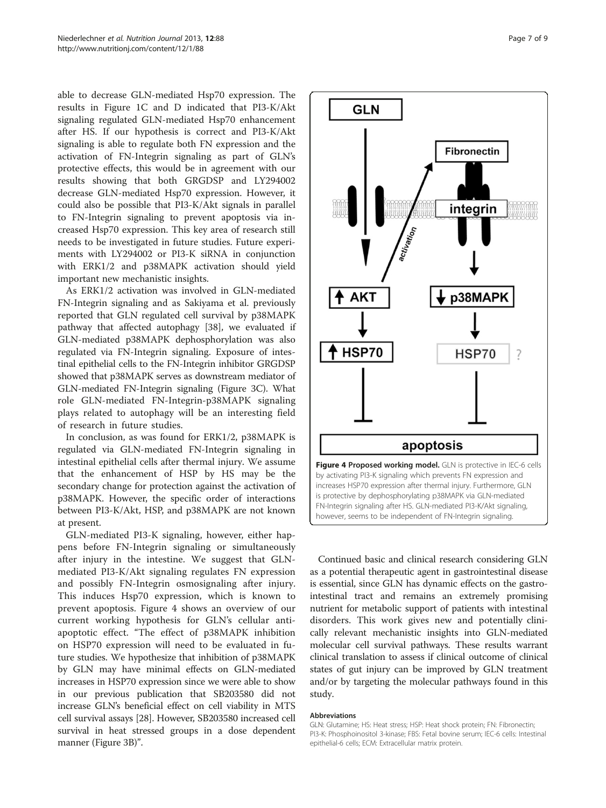able to decrease GLN-mediated Hsp70 expression. The results in Figure [1C](#page-3-0) and D indicated that PI3-K/Akt signaling regulated GLN-mediated Hsp70 enhancement after HS. If our hypothesis is correct and PI3-K/Akt signaling is able to regulate both FN expression and the activation of FN-Integrin signaling as part of GLN's protective effects, this would be in agreement with our results showing that both GRGDSP and LY294002 decrease GLN-mediated Hsp70 expression. However, it could also be possible that PI3-K/Akt signals in parallel to FN-Integrin signaling to prevent apoptosis via increased Hsp70 expression. This key area of research still needs to be investigated in future studies. Future experiments with LY294002 or PI3-K siRNA in conjunction with ERK1/2 and p38MAPK activation should yield important new mechanistic insights.

As ERK1/2 activation was involved in GLN-mediated FN-Integrin signaling and as Sakiyama et al. previously reported that GLN regulated cell survival by p38MAPK pathway that affected autophagy [\[38](#page-8-0)], we evaluated if GLN-mediated p38MAPK dephosphorylation was also regulated via FN-Integrin signaling. Exposure of intestinal epithelial cells to the FN-Integrin inhibitor GRGDSP showed that p38MAPK serves as downstream mediator of GLN-mediated FN-Integrin signaling (Figure [3C](#page-5-0)). What role GLN-mediated FN-Integrin-p38MAPK signaling plays related to autophagy will be an interesting field of research in future studies.

In conclusion, as was found for ERK1/2, p38MAPK is regulated via GLN-mediated FN-Integrin signaling in intestinal epithelial cells after thermal injury. We assume that the enhancement of HSP by HS may be the secondary change for protection against the activation of p38MAPK. However, the specific order of interactions between PI3-K/Akt, HSP, and p38MAPK are not known at present.

GLN-mediated PI3-K signaling, however, either happens before FN-Integrin signaling or simultaneously after injury in the intestine. We suggest that GLNmediated PI3-K/Akt signaling regulates FN expression and possibly FN-Integrin osmosignaling after injury. This induces Hsp70 expression, which is known to prevent apoptosis. Figure 4 shows an overview of our current working hypothesis for GLN's cellular antiapoptotic effect. "The effect of p38MAPK inhibition on HSP70 expression will need to be evaluated in future studies. We hypothesize that inhibition of p38MAPK by GLN may have minimal effects on GLN-mediated increases in HSP70 expression since we were able to show in our previous publication that SB203580 did not increase GLN's beneficial effect on cell viability in MTS cell survival assays [[28](#page-7-0)]. However, SB203580 increased cell survival in heat stressed groups in a dose dependent manner (Figure [3](#page-5-0)B)".



Continued basic and clinical research considering GLN as a potential therapeutic agent in gastrointestinal disease is essential, since GLN has dynamic effects on the gastrointestinal tract and remains an extremely promising nutrient for metabolic support of patients with intestinal disorders. This work gives new and potentially clinically relevant mechanistic insights into GLN-mediated molecular cell survival pathways. These results warrant clinical translation to assess if clinical outcome of clinical states of gut injury can be improved by GLN treatment and/or by targeting the molecular pathways found in this study.

#### Abbreviations

GLN: Glutamine; HS: Heat stress; HSP: Heat shock protein; FN: Fibronectin; PI3-K: Phosphoinositol 3-kinase; FBS: Fetal bovine serum; IEC-6 cells: Intestinal epithelial-6 cells; ECM: Extracellular matrix protein.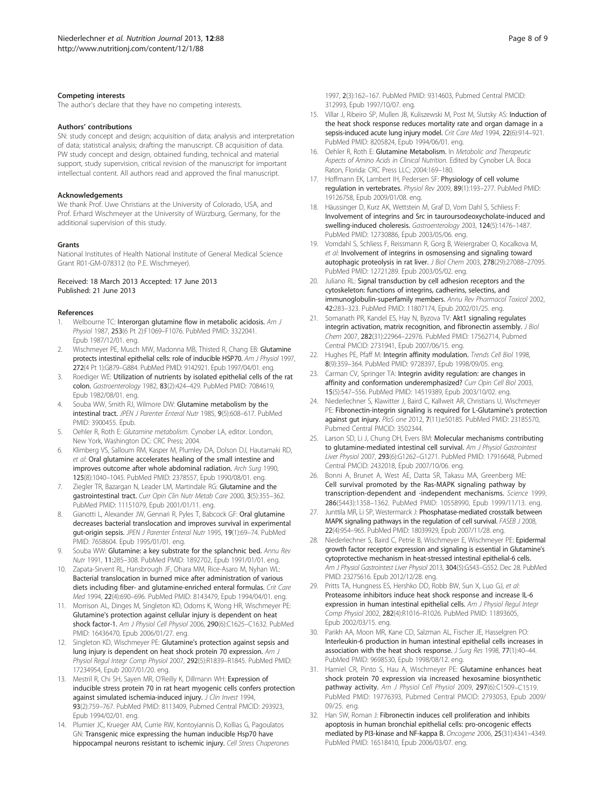#### <span id="page-7-0"></span>Competing interests

The author's declare that they have no competing interests.

#### Authors' contributions

SN: study concept and design; acquisition of data; analysis and interpretation of data; statistical analysis; drafting the manuscript. CB acquisition of data. PW study concept and design, obtained funding, technical and material support, study supervision, critical revision of the manuscript for important intellectual content. All authors read and approved the final manuscript.

#### Acknowledgements

We thank Prof. Uwe Christians at the University of Colorado, USA, and Prof. Erhard Wischmeyer at the University of Würzburg, Germany, for the additional supervision of this study.

#### Grants

National Institutes of Health National Institute of General Medical Science Grant R01-GM-078312 (to P.E. Wischmeyer).

#### Received: 18 March 2013 Accepted: 17 June 2013 Published: 21 June 2013

#### References

- Welbourne TC: Interorgan glutamine flow in metabolic acidosis. Am J Physiol 1987, 253(6 Pt 2):F1069–F1076. PubMed PMID: 3322041. Epub 1987/12/01. eng.
- 2. Wischmeyer PE, Musch MW, Madonna MB, Thisted R, Chang EB: Glutamine protects intestinal epithelial cells: role of inducible HSP70. Am J Physiol 1997, 272(4 Pt 1):G879–G884. PubMed PMID: 9142921. Epub 1997/04/01. eng.
- Roediger WE: Utilization of nutrients by isolated epithelial cells of the rat colon. Gastroenterology 1982, 83(2):424–429. PubMed PMID: 7084619, Epub 1982/08/01. eng.
- Souba WW, Smith RJ, Wilmore DW: Glutamine metabolism by the intestinal tract. JPEN J Parenter Enteral Nutr 1985, 9(5):608–617. PubMed PMID: 3900455. Epub.
- 5. Oehler R, Roth E: Glutamine metabolism. Cynober LA, editor. London, New York, Washington DC: CRC Press; 2004.
- 6. Klimberg VS, Salloum RM, Kasper M, Plumley DA, Dolson DJ, Hautamaki RD, et al: Oral glutamine accelerates healing of the small intestine and improves outcome after whole abdominal radiation. Arch Surg 1990, 125(8):1040–1045. PubMed PMID: 2378557, Epub 1990/08/01. eng.
- 7. Ziegler TR, Bazargan N, Leader LM, Martindale RG: Glutamine and the gastrointestinal tract. Curr Opin Clin Nutr Metab Care 2000, 3(5):355–362. PubMed PMID: 11151079, Epub 2001/01/11. eng.
- Gianotti L, Alexander JW, Gennari R, Pyles T, Babcock GF: Oral glutamine decreases bacterial translocation and improves survival in experimental gut-origin sepsis. JPEN J Parenter Enteral Nutr 1995, 19(1):69–74. PubMed PMID: 7658604. Epub 1995/01/01. eng.
- 9. Souba WW: Glutamine: a key substrate for the splanchnic bed. Annu Rev Nutr 1991, 11:285–308. PubMed PMID: 1892702, Epub 1991/01/01. eng.
- 10. Zapata-Sirvent RL, Hansbrough JF, Ohara MM, Rice-Asaro M, Nyhan WL: Bacterial translocation in burned mice after administration of various diets including fiber- and glutamine-enriched enteral formulas. Crit Care Med 1994, 22(4):690–696. PubMed PMID: 8143479, Epub 1994/04/01. eng.
- 11. Morrison AL, Dinges M, Singleton KD, Odoms K, Wong HR, Wischmeyer PE: Glutamine's protection against cellular injury is dependent on heat shock factor-1. Am J Physiol Cell Physiol 2006, 290(6):C1625–C1632. PubMed PMID: 16436470, Epub 2006/01/27. eng.
- 12. Singleton KD, Wischmeyer PE: Glutamine's protection against sepsis and lung injury is dependent on heat shock protein 70 expression. Am J Physiol Regul Integr Comp Physiol 2007, 292(5):R1839-R1845. PubMed PMID: 17234954, Epub 2007/01/20. eng.
- 13. Mestril R, Chi SH, Sayen MR, O'Reilly K, Dillmann WH: Expression of inducible stress protein 70 in rat heart myogenic cells confers protection against simulated ischemia-induced injury. J Clin Invest 1994, 93(2):759–767. PubMed PMID: 8113409, Pubmed Central PMCID: 293923, Epub 1994/02/01. eng.
- 14. Plumier JC, Krueger AM, Currie RW, Kontoyiannis D, Kollias G, Pagoulatos GN: Transgenic mice expressing the human inducible Hsp70 have hippocampal neurons resistant to ischemic injury. Cell Stress Chaperones
- 15. Villar J, Ribeiro SP, Mullen JB, Kuliszewski M, Post M, Slutsky AS: Induction of the heat shock response reduces mortality rate and organ damage in a sepsis-induced acute lung injury model. Crit Care Med 1994, 22(6):914–921. PubMed PMID: 8205824, Epub 1994/06/01. eng.
- 16. Oehler R, Roth E: Glutamine Metabolism. In Metabolic and Therapeutic Aspects of Amino Acids in Clinical Nutrition. Edited by Cynober LA. Boca Raton, Florida: CRC Press LLC; 2004:169–180.
- 17. Hoffmann EK, Lambert IH, Pedersen SF: Physiology of cell volume regulation in vertebrates. Physiol Rev 2009, 89(1):193–277. PubMed PMID: 19126758, Epub 2009/01/08. eng.
- 18. Häussinger D, Kurz AK, Wettstein M, Graf D, Vom Dahl S, Schliess F: Involvement of integrins and Src in tauroursodeoxycholate-induced and swelling-induced choleresis. Gastroenterology 2003, 124(5):1476–1487. PubMed PMID: 12730886, Epub 2003/05/06. eng.
- 19. Vomdahl S, Schliess F, Reissmann R, Gorg B, Weiergraber O, Kocalkova M, et al: Involvement of integrins in osmosensing and signaling toward autophagic proteolysis in rat liver. J Biol Chem 2003, 278(29):27088–27095. PubMed PMID: 12721289. Epub 2003/05/02. eng.
- 20. Juliano RL: Signal transduction by cell adhesion receptors and the cytoskeleton: functions of integrins, cadherins, selectins, and immunoglobulin-superfamily members. Annu Rev Pharmacol Toxicol 2002, 42:283–323. PubMed PMID: 11807174, Epub 2002/01/25. eng.
- 21. Somanath PR, Kandel ES, Hay N, Byzova TV: Akt1 signaling regulates integrin activation, matrix recognition, and fibronectin assembly. J Biol Chem 2007, 282(31):22964–22976. PubMed PMID: 17562714, Pubmed Central PMCID: 2731941, Epub 2007/06/15. eng.
- 22. Hughes PE, Pfaff M: Integrin affinity modulation. Trends Cell Biol 1998, 8(9):359–364. PubMed PMID: 9728397, Epub 1998/09/05. eng.
- 23. Carman CV, Springer TA: Integrin avidity regulation: are changes in affinity and conformation underemphasized? Curr Opin Cell Biol 2003, 15(5):547–556. PubMed PMID: 14519389, Epub 2003/10/02. eng.
- 24. Niederlechner S, Klawitter J, Baird C, Kallweit AR, Christians U, Wischmeyer PE: Fibronectin-integrin signaling is required for L-Glutamine's protection against gut injury. PloS one 2012, 7(11):e50185. PubMed PMID: 23185570, Pubmed Central PMCID: 3502344.
- 25. Larson SD, Li J, Chung DH, Evers BM: Molecular mechanisms contributing to glutamine-mediated intestinal cell survival. Am J Physiol Gastrointest Liver Physiol 2007, 293(6):G1262–G1271. PubMed PMID: 17916648, Pubmed Central PMCID: 2432018, Epub 2007/10/06. eng.
- 26. Bonni A, Brunet A, West AE, Datta SR, Takasu MA, Greenberg ME: Cell survival promoted by the Ras-MAPK signaling pathway by transcription-dependent and -independent mechanisms. Science 1999, 286(5443):1358–1362. PubMed PMID: 10558990, Epub 1999/11/13. eng.
- 27. Junttila MR, Li SP, Westermarck J: Phosphatase-mediated crosstalk between MAPK signaling pathways in the regulation of cell survival. FASEB J 2008, 22(4):954–965. PubMed PMID: 18039929, Epub 2007/11/28. eng.
- 28. Niederlechner S, Baird C, Petrie B, Wischmeyer E, Wischmeyer PE: Epidermal growth factor receptor expression and signaling is essential in Glutamine's cytoprotective mechanism in heat-stressed intestinal epithelial-6 cells. Am J Physiol Gastrointest Liver Physiol 2013, 304(5):G543–G552. Dec 28. PubMed PMID: 23275616. Epub 2012/12/28. eng.
- 29. Pritts TA, Hungness ES, Hershko DD, Robb BW, Sun X, Luo GJ, et al: Proteasome inhibitors induce heat shock response and increase IL-6 expression in human intestinal epithelial cells. Am J Physiol Regul Integr Comp Physiol 2002, 282(4):R1016–R1026. PubMed PMID: 11893605, Epub 2002/03/15. eng.
- 30. Parikh AA, Moon MR, Kane CD, Salzman AL, Fischer JE, Hasselgren PO: Interleukin-6 production in human intestinal epithelial cells increases in association with the heat shock response. J Surg Res 1998, 77(1):40-44. PubMed PMID: 9698530, Epub 1998/08/12. eng.
- 31. Hamiel CR, Pinto S, Hau A, Wischmeyer PE: Glutamine enhances heat shock protein 70 expression via increased hexosamine biosynthetic pathway activity. Am J Physiol Cell Physiol 2009, 297(6):C1509-C1519. PubMed PMID: 19776393, Pubmed Central PMCID: 2793053, Epub 2009/ 09/25. eng.
- 32. Han SW, Roman J: Fibronectin induces cell proliferation and inhibits apoptosis in human bronchial epithelial cells: pro-oncogenic effects mediated by PI3-kinase and NF-kappa B. Oncogene 2006, 25(31):4341–4349. PubMed PMID: 16518410, Epub 2006/03/07. eng.